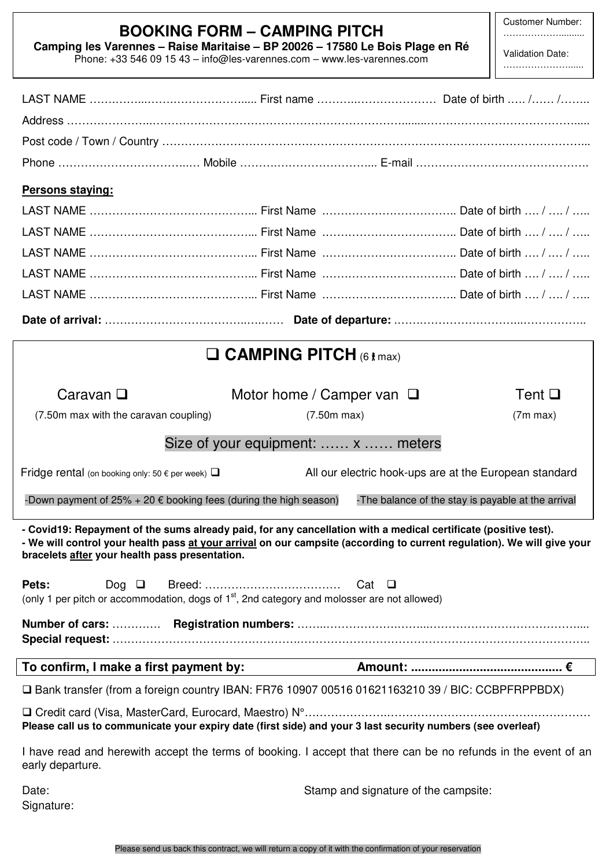Customer Number: ………………..........

| $\mathbf{v}$ |  |
|--------------|--|

**Camping les Varennes – Raise Maritaise – BP 20026 – 17580 Le Bois Plage en Ré**  Phone: +33 546 09 15 43 – info@les-varennes.com – www.les-varennes.com

LAST NAME …….……...…….………………..... First name ………..………………… Date of birth .…. /…… /……..

Validation Date: …………………......

| Persons staying:                                                                                                                                                                                                                                                                             |                                    |                                      |                                                    |  |  |
|----------------------------------------------------------------------------------------------------------------------------------------------------------------------------------------------------------------------------------------------------------------------------------------------|------------------------------------|--------------------------------------|----------------------------------------------------|--|--|
|                                                                                                                                                                                                                                                                                              |                                    |                                      |                                                    |  |  |
|                                                                                                                                                                                                                                                                                              |                                    |                                      |                                                    |  |  |
|                                                                                                                                                                                                                                                                                              |                                    |                                      |                                                    |  |  |
|                                                                                                                                                                                                                                                                                              |                                    |                                      |                                                    |  |  |
|                                                                                                                                                                                                                                                                                              |                                    |                                      |                                                    |  |  |
|                                                                                                                                                                                                                                                                                              |                                    |                                      |                                                    |  |  |
| $\Box$ CAMPING PITCH (6 t max)                                                                                                                                                                                                                                                               |                                    |                                      |                                                    |  |  |
|                                                                                                                                                                                                                                                                                              |                                    |                                      |                                                    |  |  |
| Caravan $\square$                                                                                                                                                                                                                                                                            | Motor home / Camper van $\Box$     |                                      | Tent $\square$                                     |  |  |
| (7.50m max with the caravan coupling)                                                                                                                                                                                                                                                        | $(7.50m \text{ max})$              |                                      | $(7m \, max)$                                      |  |  |
|                                                                                                                                                                                                                                                                                              | Size of your equipment:  x  meters |                                      |                                                    |  |  |
| All our electric hook-ups are at the European standard<br>Fridge rental (on booking only: 50 $\epsilon$ per week) $\Box$                                                                                                                                                                     |                                    |                                      |                                                    |  |  |
| -Down payment of 25% + 20 $\epsilon$ booking fees (during the high season)                                                                                                                                                                                                                   |                                    |                                      | -The balance of the stay is payable at the arrival |  |  |
| - Covid19: Repayment of the sums already paid, for any cancellation with a medical certificate (positive test).<br>- We will control your health pass at your arrival on our campsite (according to current regulation). We will give your<br>bracelets after your health pass presentation. |                                    |                                      |                                                    |  |  |
| Pets:<br>Dog $\Box$                                                                                                                                                                                                                                                                          |                                    |                                      |                                                    |  |  |
| (only 1 per pitch or accommodation, dogs of 1 <sup>st</sup> , 2nd category and molosser are not allowed)                                                                                                                                                                                     |                                    |                                      |                                                    |  |  |
|                                                                                                                                                                                                                                                                                              |                                    |                                      |                                                    |  |  |
|                                                                                                                                                                                                                                                                                              |                                    |                                      |                                                    |  |  |
| □ Bank transfer (from a foreign country IBAN: FR76 10907 00516 01621163210 39 / BIC: CCBPFRPPBDX)                                                                                                                                                                                            |                                    |                                      |                                                    |  |  |
| Please call us to communicate your expiry date (first side) and your 3 last security numbers (see overleaf)                                                                                                                                                                                  |                                    |                                      |                                                    |  |  |
| I have read and herewith accept the terms of booking. I accept that there can be no refunds in the event of an<br>early departure.                                                                                                                                                           |                                    |                                      |                                                    |  |  |
| Date:<br>Signature:                                                                                                                                                                                                                                                                          |                                    | Stamp and signature of the campsite: |                                                    |  |  |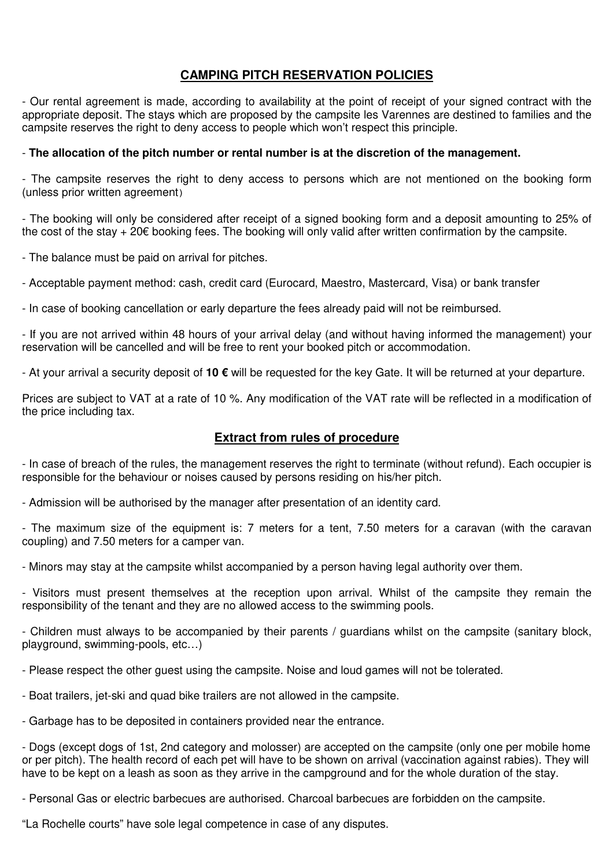## **CAMPING PITCH RESERVATION POLICIES**

- Our rental agreement is made, according to availability at the point of receipt of your signed contract with the appropriate deposit. The stays which are proposed by the campsite les Varennes are destined to families and the campsite reserves the right to deny access to people which won't respect this principle.

### - **The allocation of the pitch number or rental number is at the discretion of the management.**

- The campsite reserves the right to deny access to persons which are not mentioned on the booking form (unless prior written agreement)

- The booking will only be considered after receipt of a signed booking form and a deposit amounting to 25% of the cost of the stay + 20€ booking fees. The booking will only valid after written confirmation by the campsite.

- The balance must be paid on arrival for pitches.

- Acceptable payment method: cash, credit card (Eurocard, Maestro, Mastercard, Visa) or bank transfer

- In case of booking cancellation or early departure the fees already paid will not be reimbursed.

- If you are not arrived within 48 hours of your arrival delay (and without having informed the management) your reservation will be cancelled and will be free to rent your booked pitch or accommodation.

- At your arrival a security deposit of **10 €** will be requested for the key Gate. It will be returned at your departure.

Prices are subject to VAT at a rate of 10 %. Any modification of the VAT rate will be reflected in a modification of the price including tax.

### **Extract from rules of procedure**

- In case of breach of the rules, the management reserves the right to terminate (without refund). Each occupier is responsible for the behaviour or noises caused by persons residing on his/her pitch.

- Admission will be authorised by the manager after presentation of an identity card.

- The maximum size of the equipment is: 7 meters for a tent, 7.50 meters for a caravan (with the caravan coupling) and 7.50 meters for a camper van.

- Minors may stay at the campsite whilst accompanied by a person having legal authority over them.

- Visitors must present themselves at the reception upon arrival. Whilst of the campsite they remain the responsibility of the tenant and they are no allowed access to the swimming pools.

- Children must always to be accompanied by their parents / guardians whilst on the campsite (sanitary block, playground, swimming-pools, etc…)

- Please respect the other guest using the campsite. Noise and loud games will not be tolerated.

- Boat trailers, jet-ski and quad bike trailers are not allowed in the campsite.

- Garbage has to be deposited in containers provided near the entrance.

- Dogs (except dogs of 1st, 2nd category and molosser) are accepted on the campsite (only one per mobile home or per pitch). The health record of each pet will have to be shown on arrival (vaccination against rabies). They will have to be kept on a leash as soon as they arrive in the campground and for the whole duration of the stay.

- Personal Gas or electric barbecues are authorised. Charcoal barbecues are forbidden on the campsite.

"La Rochelle courts" have sole legal competence in case of any disputes.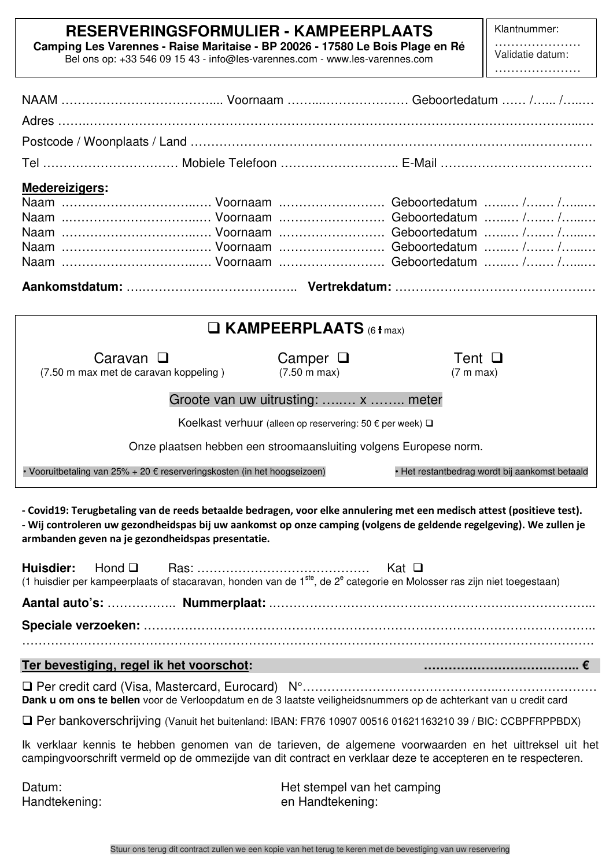# **RESERVERINGSFORMULIER - KAMPEERPLAATS**

**Camping Les Varennes - Raise Maritaise - BP 20026 - 17580 Le Bois Plage en Ré**  Bel ons op: +33 546 09 15 43 - info@les-varennes.com - www.les-varennes.com

 $\overline{a}$ 

Klantnummer:

………………… Validatie datum: ……………………

| <b>Medereizigers:</b>                                                                                                                                                                                                                                                                              |                                                                         |                                                |  |  |  |
|----------------------------------------------------------------------------------------------------------------------------------------------------------------------------------------------------------------------------------------------------------------------------------------------------|-------------------------------------------------------------------------|------------------------------------------------|--|--|--|
|                                                                                                                                                                                                                                                                                                    |                                                                         |                                                |  |  |  |
| $\Box$ KAMPEERPLAATS (6 t max)                                                                                                                                                                                                                                                                     |                                                                         |                                                |  |  |  |
| Caravan $\square$<br>(7.50 m max met de caravan koppeling)                                                                                                                                                                                                                                         | Camper $\Box$<br>$(7.50 \text{ m} \text{ max})$                         | Tent $\Box$<br>(7 m max)                       |  |  |  |
|                                                                                                                                                                                                                                                                                                    | Groote van uw uitrusting:  x  meter                                     |                                                |  |  |  |
|                                                                                                                                                                                                                                                                                                    | Koelkast verhuur (alleen op reservering: 50 $\epsilon$ per week) $\Box$ |                                                |  |  |  |
| Onze plaatsen hebben een stroomaansluiting volgens Europese norm.                                                                                                                                                                                                                                  |                                                                         |                                                |  |  |  |
| • Vooruitbetaling van 25% + 20 € reserveringskosten (in het hoogseizoen)                                                                                                                                                                                                                           |                                                                         | · Het restantbedrag wordt bij aankomst betaald |  |  |  |
| - Covid19: Terugbetaling van de reeds betaalde bedragen, voor elke annulering met een medisch attest (positieve test).<br>- Wij controleren uw gezondheidspas bij uw aankomst op onze camping (volgens de geldende regelgeving). We zullen je<br>armbanden geven na je gezondheidspas presentatie. |                                                                         |                                                |  |  |  |
| Huisdier:<br>Hond $\Box$<br>(1 huisdier per kampeerplaats of stacaravan, honden van de 1 <sup>ste</sup> , de 2 <sup>e</sup> categorie en Molosser ras zijn niet toegestaan)                                                                                                                        |                                                                         | Kat $\Box$                                     |  |  |  |
|                                                                                                                                                                                                                                                                                                    |                                                                         |                                                |  |  |  |
|                                                                                                                                                                                                                                                                                                    |                                                                         |                                                |  |  |  |
|                                                                                                                                                                                                                                                                                                    |                                                                         |                                                |  |  |  |
| Ter bevestiging, regel ik het voorschot:                                                                                                                                                                                                                                                           |                                                                         |                                                |  |  |  |
| Dank u om ons te bellen voor de Verloopdatum en de 3 laatste veiligheidsnummers op de achterkant van u credit card                                                                                                                                                                                 |                                                                         |                                                |  |  |  |
| □ Per bankoverschrijving (Vanuit het buitenland: IBAN: FR76 10907 00516 01621163210 39 / BIC: CCBPFRPPBDX)                                                                                                                                                                                         |                                                                         |                                                |  |  |  |
| Ik verklaar kennis te hebben genomen van de tarieven, de algemene voorwaarden en het uittreksel uit het<br>campingvoorschrift vermeld op de ommezijde van dit contract en verklaar deze te accepteren en te respecteren.                                                                           |                                                                         |                                                |  |  |  |
| Datum:<br>Handtekening:                                                                                                                                                                                                                                                                            | Het stempel van het camping<br>en Handtekening:                         |                                                |  |  |  |